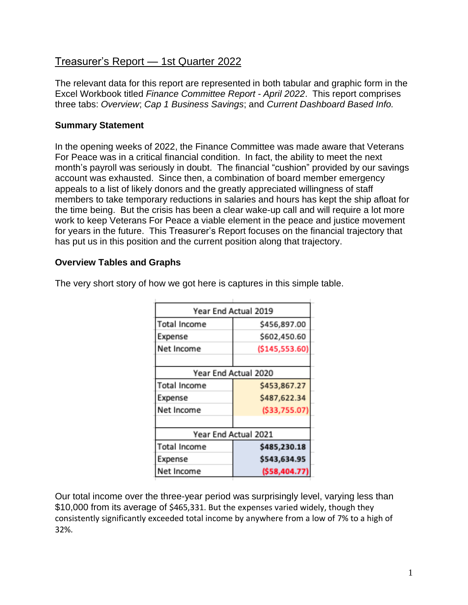# Treasurer's Report — 1st Quarter 2022

The relevant data for this report are represented in both tabular and graphic form in the Excel Workbook titled *Finance Committee Report - April 2022*. This report comprises three tabs: *Overview*; *Cap 1 Business Savings*; and *Current Dashboard Based Info.*

## **Summary Statement**

In the opening weeks of 2022, the Finance Committee was made aware that Veterans For Peace was in a critical financial condition. In fact, the ability to meet the next month's payroll was seriously in doubt. The financial "cushion" provided by our savings account was exhausted. Since then, a combination of board member emergency appeals to a list of likely donors and the greatly appreciated willingness of staff members to take temporary reductions in salaries and hours has kept the ship afloat for the time being. But the crisis has been a clear wake-up call and will require a lot more work to keep Veterans For Peace a viable element in the peace and justice movement for years in the future. This Treasurer's Report focuses on the financial trajectory that has put us in this position and the current position along that trajectory.

## **Overview Tables and Graphs**

| The very short story of how we got here is captures in this simple table. |  |  |  |
|---------------------------------------------------------------------------|--|--|--|
|                                                                           |  |  |  |

| Year End Actual 2019 |                  |  |  |  |  |  |
|----------------------|------------------|--|--|--|--|--|
| Total Income         | \$456,897.00     |  |  |  |  |  |
| Expense              | \$602,450.60     |  |  |  |  |  |
| Net Income           | ( \$145, 553.60] |  |  |  |  |  |
|                      |                  |  |  |  |  |  |
| Year End Actual 2020 |                  |  |  |  |  |  |
| Total Income         | \$453,867.27     |  |  |  |  |  |
| Expense              | \$487,622.34     |  |  |  |  |  |
| Net Income           | ( \$33,755.07]   |  |  |  |  |  |
|                      |                  |  |  |  |  |  |
| Year End Actual 2021 |                  |  |  |  |  |  |
| Total Income         | \$485,230.18     |  |  |  |  |  |
| Expense              | \$543,634.95     |  |  |  |  |  |
| Net Income           | (558, 404.77)    |  |  |  |  |  |

Our total income over the three-year period was surprisingly level, varying less than \$10,000 from its average of \$465,331. But the expenses varied widely, though they consistently significantly exceeded total income by anywhere from a low of 7% to a high of 32%.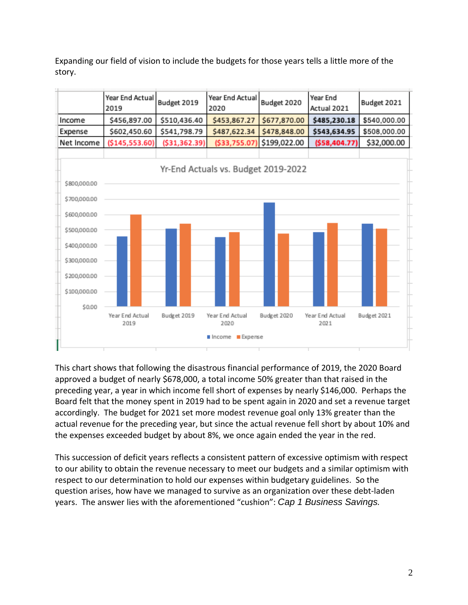Expanding our field of vision to include the budgets for those years tells a little more of the story.



This chart shows that following the disastrous financial performance of 2019, the 2020 Board approved a budget of nearly \$678,000, a total income 50% greater than that raised in the preceding year, a year in which income fell short of expenses by nearly \$146,000. Perhaps the Board felt that the money spent in 2019 had to be spent again in 2020 and set a revenue target accordingly. The budget for 2021 set more modest revenue goal only 13% greater than the actual revenue for the preceding year, but since the actual revenue fell short by about 10% and the expenses exceeded budget by about 8%, we once again ended the year in the red.

This succession of deficit years reflects a consistent pattern of excessive optimism with respect to our ability to obtain the revenue necessary to meet our budgets and a similar optimism with respect to our determination to hold our expenses within budgetary guidelines. So the question arises, how have we managed to survive as an organization over these debt-laden years. The answer lies with the aforementioned "cushion": *Cap 1 Business Savings.*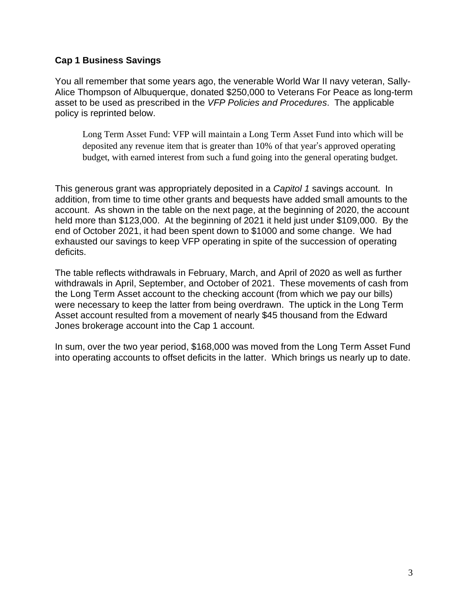### **Cap 1 Business Savings**

You all remember that some years ago, the venerable World War II navy veteran, Sally-Alice Thompson of Albuquerque, donated \$250,000 to Veterans For Peace as long-term asset to be used as prescribed in the *VFP Policies and Procedures*. The applicable policy is reprinted below.

Long Term Asset Fund: VFP will maintain a Long Term Asset Fund into which will be deposited any revenue item that is greater than 10% of that year's approved operating budget, with earned interest from such a fund going into the general operating budget.

This generous grant was appropriately deposited in a *Capitol 1* savings account. In addition, from time to time other grants and bequests have added small amounts to the account. As shown in the table on the next page, at the beginning of 2020, the account held more than \$123,000. At the beginning of 2021 it held just under \$109,000. By the end of October 2021, it had been spent down to \$1000 and some change. We had exhausted our savings to keep VFP operating in spite of the succession of operating deficits.

The table reflects withdrawals in February, March, and April of 2020 as well as further withdrawals in April, September, and October of 2021. These movements of cash from the Long Term Asset account to the checking account (from which we pay our bills) were necessary to keep the latter from being overdrawn. The uptick in the Long Term Asset account resulted from a movement of nearly \$45 thousand from the Edward Jones brokerage account into the Cap 1 account.

In sum, over the two year period, \$168,000 was moved from the Long Term Asset Fund into operating accounts to offset deficits in the latter. Which brings us nearly up to date.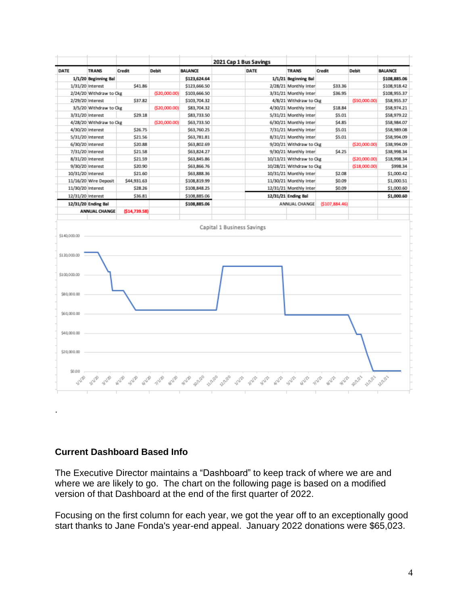

#### **Current Dashboard Based Info**

The Executive Director maintains a "Dashboard" to keep track of where we are and where we are likely to go. The chart on the following page is based on a modified version of that Dashboard at the end of the first quarter of 2022.

Focusing on the first column for each year, we got the year off to an exceptionally good start thanks to Jane Fonda's year-end appeal. January 2022 donations were \$65,023.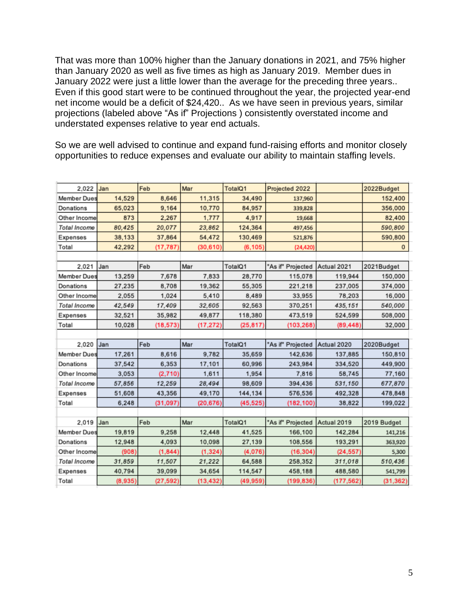That was more than 100% higher than the January donations in 2021, and 75% higher than January 2020 as well as five times as high as January 2019. Member dues in January 2022 were just a little lower than the average for the preceding three years.. Even if this good start were to be continued throughout the year, the projected year-end net income would be a deficit of \$24,420.. As we have seen in previous years, similar projections (labeled above "As if" Projections ) consistently overstated income and understated expenses relative to year end actuals.

So we are well advised to continue and expand fund-raising efforts and monitor closely opportunities to reduce expenses and evaluate our ability to maintain staffing levels.

| 2.022        | Jan     | Feb       | Mar       | TotalQ1   | Projected 2022    |             | 2022Budget   |
|--------------|---------|-----------|-----------|-----------|-------------------|-------------|--------------|
| Member Dues  | 14,529  | 8,646     | 11,315    | 34,490    | 137,960           |             | 152,400      |
| Donations    | 65,023  | 9,164     | 10,770    | 84,957    | 339,828           |             | 356,000      |
| Other Income | 873     | 2,267     | 1,777     | 4,917     | 19,668            |             | 82,400       |
| Total Income | 80.425  | 20.077    | 23,862    | 124,364   | 497,456           |             | 590,800      |
| Expenses     | 38,133  | 37,864    | 54,472    | 130,469   | 521,876           |             | 590,800      |
| Total        | 42,292  | (17, 787) | (30, 610) | (6, 105)  | (24, 420)         |             | $\mathbf{0}$ |
|              |         |           |           |           |                   |             |              |
| 2.021        | Jan     | Feb       | Mar       | TotalQ1   | "As if" Projected | Actual 2021 | 2021Budget   |
| Member Dues  | 13,259  | 7,678     | 7,833     | 28,770    | 115,078           | 119,944     | 150,000      |
| Donations    | 27,235  | 8,708     | 19,362    | 55,305    | 221,218           | 237,005     | 374,000      |
| Other Income | 2,055   | 1,024     | 5,410     | 8,489     | 33,955            | 78,203      | 16,000       |
| Total Income | 42.549  | 17,409    | 32,605    | 92,563    | 370,251           | 435,151     | 540,000      |
| Expenses     | 32,521  | 35,982    | 49,877    | 118,380   | 473,519           | 524,599     | 508,000      |
| Total        | 10,028  | (18, 573) | (17, 272) | (25, 817) | (103, 268)        | (89, 448)   | 32,000       |
|              |         |           |           |           |                   |             |              |
| 2.020        | Jan     | Feb       | Mar       | TotalQ1   | "As if" Projected | Actual 2020 | 2020Budget   |
| Member Dues  | 17,261  | 8,616     | 9,782     | 35,659    | 142,636           | 137,885     | 150,810      |
| Donations    | 37,542  | 6,353     | 17,101    | 60,996    | 243,984           | 334,520     | 449,900      |
| Other Income | 3,053   | (2,710)   | 1,611     | 1,954     | 7,816             | 58,745      | 77,160       |
| Total Income | 57,856  | 12,259    | 28,494    | 98,609    | 394,436           | 531,150     | 677,870      |
| Expenses     | 51,608  | 43,356    | 49,170    | 144,134   | 576,536           | 492,328     | 478,848      |
| Total        | 6,248   | (31, 097) | (20, 676) | (45, 525) | (182, 100)        | 38,822      | 199,022      |
|              |         |           |           |           |                   |             |              |
| 2.019        | Jan     | Feb       | Mar       | TotalQ1   | "As if" Projected | Actual 2019 | 2019 Budget  |
| Member Dues  | 19,819  | 9,258     | 12,448    | 41,525    | 166,100           | 142,284     | 141,216      |
| Donations    | 12,948  | 4,093     | 10,098    | 27,139    | 108,556           | 193,291     | 363,920      |
| Other Income | (908)   | (1, 844)  | (1, 324)  | (4,076)   | (16, 304)         | (24, 557)   | 5,300        |
| Total Income | 31,859  | 11,507    | 21,222    | 64,588    | 258,352           | 311,018     | 510,436      |
| Expenses     | 40,794  | 39,099    | 34,654    | 114,547   | 458,188           | 488,580     | 541,799      |
|              |         |           |           |           |                   |             |              |
| Total        | (8,935) | (27, 592) | (13, 432) | (49, 959) | (199, 836)        | (177, 562)  | (31, 362)    |